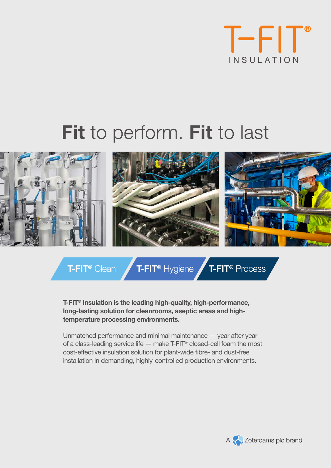

# Fit to perform. Fit to last



**T-FIT<sup>®</sup> Clean <b>F-FIT<sup>®</sup>** Hygiene **T-FIT<sup>®</sup>** Process

**T-FIT® Insulation is the leading high-quality, high-performance, long-lasting solution for cleanrooms, aseptic areas and hightemperature processing environments.** 

Unmatched performance and minimal maintenance — year after year of a class-leading service life  $-$  make T-FIT® closed-cell foam the most cost-effective insulation solution for plant-wide fibre- and dust-free installation in demanding, highly-controlled production environments.